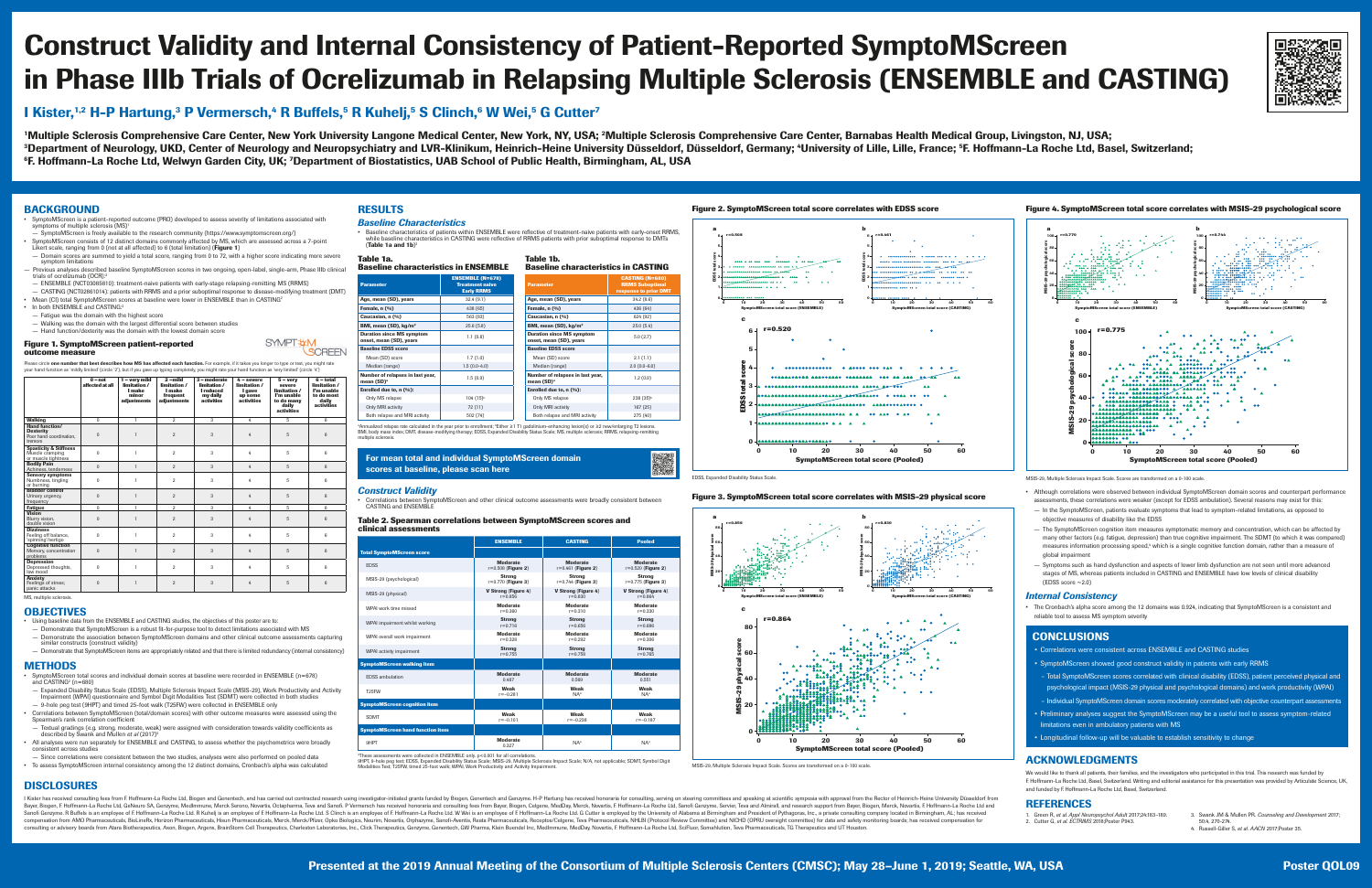# Construct Validity and Internal Consistency of Patient-Reported SymptoMScreen in Phase IIIb Trials of Ocrelizumab in Relapsing Multiple Sclerosis (ENSEMBLE and CASTING)

# I Kister,<sup>1,2</sup> H-P Hartung,<sup>3</sup> P Vermersch,<sup>4</sup> R Buffels,<sup>5</sup> R Kuhelj,<sup>5</sup> S Clinch,<sup>6</sup> W Wei,<sup>5</sup> G Cutter<sup>7</sup>

<sup>1</sup>Multiple Sclerosis Comprehensive Care Center, New York University Langone Medical Center, New York, NY, USA; <sup>2</sup>Multiple Sclerosis Comprehensive Care Center, Barnabas Health Medical Group, Livingston, NJ, USA; <sup>3</sup>Department of Neurology, UKD, Center of Neurology and Neuropsychiatry and LVR-Klinikum, Heinrich-Heine University Düsseldorf, Germany; <sup>4</sup>University of Lille, Lille, Erance; <sup>5</sup>F. Hoffmann-La Roche Ltd, Basel, Switzerla <sup>6</sup>F. Hoffmann-La Roche Ltd, Welwyn Garden City, UK; <sup>7</sup>Department of Biostatistics, UAB School of Public Health, Birmingham, AL, USA

## BACKGROUND

Please circle **one number that best describes how MS has affected each function.** For example, if it takes you longer to type or text, you might rate your hand function as 'mildly limited' (circle '2'), but if you gave up typing completely, you might rate your hand function as 'very limited' (circle '4')

- SymptoMScreen is a patient-reported outcome (PRO) developed to assess severity of limitations associated with symptoms of multiple sclerosis (MS)<sup>1</sup>
- SymptoMScreen is freely available to the research community (https://www.symptomscreen.org/)
- SymptoMScreen consists of 12 distinct domains commonly affected by MS, which are assessed across a 7-point Likert scale, ranging from 0 (not at all affected) to 6 (total limitation) (Figure 1) — Domain scores are summed to yield a total score, ranging from 0 to 72, with a higher score indicating more severe
- symptom limitations — Previous analyses described baseline SymptoMScreen scores in two ongoing, open-label, single-arm, Phase IIIb clinical
- trials of ocrelizumab (OCR): — ENSEMBLE (NCT03085810): treatment-naive patients with early-stage relapsing-remitting MS (RRMS)
- CASTING (NCT02861014): patients with RRMS and a prior suboptimal response to disease-modifying treatment (DMT) • Mean (CI) total SymptoMScreen scores at baseline were lower in ENSEMBLE than in CASTING<sup>2</sup>
- In both ENSEMBLE and CASTING:2
- Fatigue was the domain with the highest score
- Walking was the domain with the largest differential score between studies — Hand function/dexterity was the domain with the lowest domain score

• SymptoMScreen total scores and individual domain scores at baseline were recorded in ENSEMBLE (n=678) and CASTING<sup>2</sup> (n=680)

#### **Figure 1. SymptoMScreen patient-reported outcome measure**

**SYMPT #M** SCREEN

• All analyses were run separately for ENSEMBLE and CASTING, to assess whether the psychometrics were broadly consistent across studies

#### **Parameter ENSEMBLE (N=678) Treatment naive Early RRMS Age, mean (SD), years 1998** 12.4 (9.1) **Female, n (%)**  $(9/0)$  438 (65) **Caucasian, n (%)** 663 (83) **BMI, mean (SD), kg/m<sup>2</sup> 25.6 (5.8)** Duration since MS symptom **Duration since MS symptom**<br>
onset, mean (SD), years  $1.1(0.8)$ **Baseline EDSS score** Mean (SD) score 2.1.7 (1.0) Median (range) 2.0 (0.0-4.0) 2.5 (0.0-4.0) Number of relapses in last year,  $\rule{1em}{0.9em}$  1.5  $(0.9)$   $\rule{1.5pt}{0.9em}$   $\rule{1.5pt}{0.9em}$   $\rule{1.5pt}{0.9em}$   $\rule{1.5pt}{0.9em}$   $\rule{1.5pt}{0.9em}$   $\rule{1.5pt}{0.9em}$   $\rule{1.5pt}{0.9em}$   $\rule{1.5pt}{0.9em}$   $\rule{1.5pt}{0.9em}$   $\rule{1.5pt}{0.9em}$   $\r$ **Enrolled due to, n (%)** Only MS relapse  $104$   $(15)^b$ Only MRI activity 167 (25) 22 (11) Both relapse and MRI activity  $\vert$  502 (74)

|                                                                                 | $0$ – not<br>affected at all | 1 - very mild<br>limitation /<br><b>I</b> make<br>minor<br>adjustments | $2$ -mild<br>limitation /<br><b>I</b> make<br>frequent<br>adjustments | 3 – moderate<br>limitation /<br><b>I</b> reduced<br>my daily<br><b>activities</b> | $4 -$ severe<br>limitation /<br>I gave<br>up some<br><b>activities</b> | $5 - very$<br>severe<br>limitation /<br>I'm unable<br>to do many<br>daily<br><b>activities</b> | $6 - total$<br>limitation /<br>I'm unable<br>to do most<br>daily<br><b>activities</b> |
|---------------------------------------------------------------------------------|------------------------------|------------------------------------------------------------------------|-----------------------------------------------------------------------|-----------------------------------------------------------------------------------|------------------------------------------------------------------------|------------------------------------------------------------------------------------------------|---------------------------------------------------------------------------------------|
| <b>Walking</b>                                                                  | $\overline{0}$               |                                                                        | $\overline{2}$                                                        | 3                                                                                 | $\overline{4}$                                                         | $5\overline{)}$                                                                                | $6\overline{6}$                                                                       |
| <b>Hand function/</b><br><b>Dexterity</b><br>Poor hand coordination,<br>tremors | $\overline{0}$               |                                                                        | $\overline{2}$                                                        | 3                                                                                 | 4                                                                      | 5                                                                                              | 6                                                                                     |
| <b>Spasticity &amp; Stiffness</b><br>Muscle cramping<br>or muscle tightness     | $\bf{0}$                     |                                                                        | $\overline{2}$                                                        | 3                                                                                 | 4                                                                      | 5                                                                                              | 6                                                                                     |
| <b>Bodily Pain</b><br>Achiness, tenderness                                      | $\overline{0}$               |                                                                        | $\overline{2}$                                                        | 3                                                                                 | 4                                                                      | 5                                                                                              | 6                                                                                     |
| <b>Sensory symptoms</b><br>Numbness, tingling<br>or burning                     | $\overline{0}$               |                                                                        | $\overline{2}$                                                        | 3                                                                                 | 4                                                                      | 5                                                                                              | 6                                                                                     |
| <b>Bladder control</b><br>Urinary urgency,<br>trequency                         | $\boldsymbol{0}$             |                                                                        | $\overline{2}$                                                        | 3                                                                                 | 4                                                                      | 5                                                                                              | $6\overline{6}$                                                                       |
| <b>Fatigue</b>                                                                  | $\overline{0}$               |                                                                        | $\overline{2}$                                                        | 3                                                                                 | 4                                                                      | 5                                                                                              | 6                                                                                     |
| <b>Vision</b><br>Blurry vision,<br>double vision                                | $\overline{0}$               |                                                                        | $\overline{2}$                                                        | 3                                                                                 | 4                                                                      | 5                                                                                              | 6                                                                                     |
| <b>Dizziness</b><br>Feeling off balance,<br>'spinning'/vertigo                  | $\overline{0}$               |                                                                        | $\overline{2}$                                                        | 3                                                                                 | 4                                                                      | 5                                                                                              | 6                                                                                     |
| <b>Cognitive function</b><br>Memory, concentration<br>problems                  | $\theta$                     |                                                                        | 2                                                                     | 3                                                                                 | 4                                                                      | 5                                                                                              | 6                                                                                     |
| <b>Depression</b><br>Depressed thoughts,<br>low mood                            | $\overline{0}$               |                                                                        | $\overline{2}$                                                        | 3                                                                                 | 4                                                                      | 5                                                                                              | 6                                                                                     |
| <b>Anxiety</b><br>Feelings of stress;<br>panic attacks                          | $\overline{0}$               |                                                                        | $\overline{2}$                                                        | 3                                                                                 | 4                                                                      | 5                                                                                              | 6                                                                                     |

ªAnnualized relapse rate calculated in the year prior to enrollment; <sup>b</sup>Either ≥1 T1 gadolinium-enhancing lesion(s) or ≥2 new/enlarging T2 lesions. BMI, body mass index; DMT, disease-modifying therapy; EDSS, Expanded Disability Status Scale; MS, multiple sclerosis; RRMS, relapsing-remitting multiple sclerosis.

#### **For mean total and individual SymptoMScreen domain** scores at baseline, please scan here

# ■ 33225国<br>国内海外の第2

MS, multiple sclerosis.

#### **OBJECTIVES**

• Using baseline data from the ENSEMBLE and CASTING studies, the objectives of this poster are to:

— Demonstrate that SymptoMScreen is a robust fit-for-purpose tool to detect limitations associated with MS — Demonstrate the association between SymptoMScreen domains and other clinical outcome assessments capturing similar constructs (construct validity)

— Demonstrate that SymptoMScreen items are appropriately related and that there is limited redundancy (internal consistency)

### METHODS

— Expanded Disability Status Scale (EDSS), Multiple Sclerosis Impact Scale (MSIS-29), Work Productivity and Activity Impairment (WPAI) questionnaire and Symbol Digit Modalities Test (SDMT) were collected in both studies — 9-hole peg test (9HPT) and timed 25-foot walk (T25FW) were collected in ENSEMBLE only

• Correlations between SymptoMScreen (total/domain scores) with other outcome measures were assessed using the Spearman's rank correlation coefficient

— Textual gradings (e.g. strong, moderate, weak) were assigned with consideration towards validity coefficients as described by Swank and Mullen *et al* (2017)3

— Since correlations were consistent between the two studies, analyses were also performed on pooled data • To assess SymptoMScreen internal consistency among the 12 distinct domains, Cronbach's alpha was calculated

# RESULTS

#### *Baseline Characteristics*

• Baseline characteristics of patients within ENSEMBLE were reflective of treatment-naive patients with early-onset RRMS, while baseline characteristics in CASTING were reflective of RRMS patients with prior suboptimal response to DMTs (Table 1a and  $1b$ )<sup>2</sup>

#### **Table 1a.**

| <b>Baseline characteristics in ENSEMBLE</b> |                         |
|---------------------------------------------|-------------------------|
|                                             | <b>FNOFMDIF ALLABOY</b> |

#### **Table 1b.**

**Baseline characteristics in CASTING**

| <b>Parameter</b>                                            | <b>CASTING (N=680)</b><br><b>RRMS Suboptimal</b><br><b>response to prior DMT</b> |  |  |
|-------------------------------------------------------------|----------------------------------------------------------------------------------|--|--|
| Age, mean (SD), years                                       | 34.2(8.6)                                                                        |  |  |
| Female, n (%)                                               | 436 (64)                                                                         |  |  |
| <b>Caucasian, n (%)</b>                                     | 624 (92)                                                                         |  |  |
| BMI, mean (SD), kg/m <sup>2</sup>                           | 25.0(5.4)                                                                        |  |  |
| <b>Duration since MS symptom</b><br>onset, mean (SD), years | 5.0(2.7)                                                                         |  |  |
| <b>Baseline EDSS score</b>                                  |                                                                                  |  |  |
| Mean (SD) score                                             | 2.1(1.1)                                                                         |  |  |
| Median (range)                                              | $2.0(0.0-6.0)$                                                                   |  |  |
| Number of relapses in last year,<br>mean $(SD)^a$           | 1.2(0.9)                                                                         |  |  |
| Enrolled due to, $n$ (%):                                   |                                                                                  |  |  |
| <b>Only MS relapse</b>                                      | $238(35)^{b}$                                                                    |  |  |
| <b>Only MRI activity</b>                                    | 167(25)                                                                          |  |  |
| Both relapse and MRI activity                               | 275(40)                                                                          |  |  |

• The Cronbach's alpha score among the 12 domains was 0.924, indicating that SymptoMScreen is a consistent and reliable tool to assess MS symptom severity

- Correlations were consistent across ENSEMBLE and CASTING studies
- SymptoMScreen showed good construct validity in patients with early RRMS
- Total SymptoMScreen scores correlated with clinical disability (EDSS), patient perceived physical and psychological impact (MSIS-29 physical and psychological domains) and work productivity (WPAI) – Individual SymptoMScreen domain scores moderately correlated with objective counterpart assessments
- Preliminary analyses suggest the SymptoMScreen may be a useful tool to assess symptom-related limitations even in ambulatory patients with MS
- Longitudinal follow-up will be valuable to establish sensitivity to change

#### *Construct Validity*

We would like to thank all patients, their families, and the investigators who participated in this trial. This research was funded by F. Hoffmann-La Roche Ltd, Basel, Switzerland. Writing and editorial assistance for this presentation was provided by Articulate Science, UK, and funded by F. Hoffmann-La Roche Ltd, Basel, Switzerland.

• Correlations between SymptoMScreen and other clinical outcome assessments were broadly consistent between CASTING and ENSEMBLE

#### **Table 2. Spearman correlations between SymptoMScreen scores and clinical assessments**

|                                         | <b>ENSEMBLE</b>            | <b>CASTING</b>             | <b>Pooled</b>              |
|-----------------------------------------|----------------------------|----------------------------|----------------------------|
| <b>Total SymptoMScreen score</b>        |                            |                            |                            |
| <b>EDSS</b>                             | <b>Moderate</b>            | <b>Moderate</b>            | <b>Moderate</b>            |
|                                         | $r = 0.508$ (Figure 2)     | $r = 0.461$ (Figure 2)     | $r = 0.520$ (Figure 2)     |
| MSIS-29 (psychological)                 | <b>Strong</b>              | <b>Strong</b>              | <b>Strong</b>              |
|                                         | $r = 0.770$ (Figure 3)     | $r = 0.744$ (Figure 3)     | $r = 0.775$ (Figure 3)     |
| MSIS-29 (physical)                      | <b>V Strong (Figure 4)</b> | <b>V Strong (Figure 4)</b> | <b>V Strong (Figure 4)</b> |
|                                         | $r = 0.856$                | $r = 0.830$                | $r = 0.864$                |
| WPAI work time missed                   | <b>Moderate</b>            | <b>Moderate</b>            | <b>Moderate</b>            |
|                                         | $r = 0.360$                | $r = 0.310$                | $r = 0.330$                |
| WPAI impairment whilst working          | <b>Strong</b>              | <b>Strong</b>              | <b>Strong</b>              |
|                                         | $r = 0.716$                | $r = 0.656$                | $r = 0.686$                |
| WPAI overall work impairment            | <b>Moderate</b>            | <b>Moderate</b>            | <b>Moderate</b>            |
|                                         | $r = 0.328$                | $r = 0.292$                | $r = 0.306$                |
| WPAI activity impairment                | <b>Strong</b>              | <b>Strong</b>              | <b>Strong</b>              |
|                                         | $r = 0.755$                | $r = 0.758$                | $r = 0.765$                |
| <b>SymptoMScreen walking item</b>       |                            |                            |                            |
| <b>EDSS</b> ambulation                  | <b>Moderate</b>            | <b>Moderate</b>            | <b>Moderate</b>            |
|                                         | 0.487                      | 0.569                      | 0.551                      |
| T <sub>25</sub> FW                      | <b>Weak</b>                | <b>Weak</b>                | <b>Weak</b>                |
|                                         | $r = -0.281$               | $NA^a$                     | $NA^a$                     |
| <b>SymptoMScreen cognition item</b>     |                            |                            |                            |
| <b>SDMT</b>                             | <b>Weak</b>                | <b>Weak</b>                | <b>Weak</b>                |
|                                         | $r = -0.101$               | $r = -0.238$               | $r = -0.187$               |
| <b>SymptoMScreen hand function item</b> |                            |                            |                            |
| 9HPT                                    | <b>Moderate</b><br>0.327   | $NA^a$                     | $NA^a$                     |

a These assessments were collected in ENSEMBLE only. p<0.001 for all correlations.

9HPT, 9-hole peg test; EDSS, Expanded Disability Status Scale; MSIS-29, Multiple Sclerosis Impact Scale; N/A, not applicable; SDMT, Symbol Digit Modalities Test; T25FW, timed 25-foot walk; WPAI, Work Productivity and Activity Impairment.





MSIS-29, Multiple Sclerosis Impact Scale. Scores are transformed on a 0-100 scale.



# DISCLOSURES

I Kister has received consulting fees from F. Hoffmann-La Roche Ltd, Biogen and Genentech, and has carried out contracted research using investigator-initiated grants funded by Biogen, Genentech and Genzyme. H-P Hartung ha Bayer, Biogen, F. Hoffmann-La Roche Ltd, GeNeuro SA, Genzyme, MedImmune, Merck Serono, Novartis, Octapharma, Teva and Sanofi Genzyme, Servier, Teva and Almirall, and research support from Bayer, Biogen, Merck, Novartis, F. Sanofi Genzyme. R Buffels is an employee of F. Hoffmann-La Roche Ltd. R Kuhelj is an employee of F. Hoffmann-La Roche Ltd. S Clinch is an employee of F. Hoffmann-La Roche Ltd. S Clinch is an employee of F. Hoffmann-La Roch compensation from AMO Pharmaceuticals, BioLineRx, Horizon Pharmaceuticals, Hisun Pharmaceuticals, Hisun Pharmaceuticals, Merck/Pfizer, Opko Biologics, Neurim, Novartis, Orphazyme, Sanofi-Aventis, Reata Pharmaceuticals, Rec consulting or advisory boards from Atara Biotherapeutics, Axon, Biogen, Argenx, BrainStorm Cell Therapeutics, Charleston Laboratories, Inc., Click Therapeutics, Genzyme, Genentech, GW Pharma, Klein Buendel Inc, MedImmune,



• Although correlations were observed between individual SymptoMScreen domain scores and counterpart performance assessments, these correlations were weaker (except for EDSS ambulation). Several reasons may exist for this:

- In the SymptoMScreen, patients evaluate symptoms that lead to symptom-related limitations, as opposed to objective measures of disability like the EDSS
- The SymptoMScreen cognition item measures symptomatic memory and concentration, which can be affected by many other factors (e.g. fatigue, depression) than true cognitive impairment. The SDMT (to which it was compared) measures information processing speed,<sup>4</sup> which is a single cognitive function domain, rather than a measure of global impairment
- Symptoms such as hand dysfunction and aspects of lower limb dysfunction are not seen until more advanced stages of MS, whereas patients included in CASTING and ENSEMBLE have low levels of clinical disability (EDSS score ~2.0)

#### *Internal Consistency*

### CONCLUSIONS

# ACKNOWLEDGMENTS

# REFERENCES

- 1. Green R, *et al*. *Appl Neuropsychol Adult* 2017;24:183–189. 2. Cutter G, *et al*. *ECTRIMS* 2018;Poster P943.
	-
- 3. Swank JM & Mullen PR. *Counseling and Development* 2017;
- 50:4, 270-274. 4. Russell-Giller S, *et al*. *AACN* 2017;Poster 35.